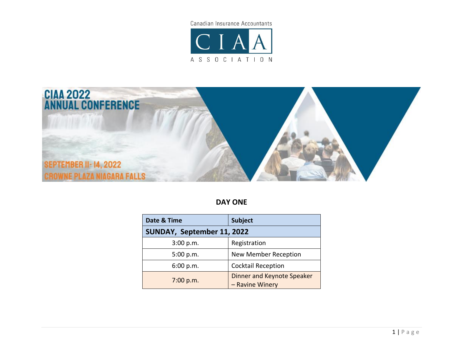Canadian Insurance Accountants





**DAY ONE**

| Date & Time                | <b>Subject</b>                                |  |
|----------------------------|-----------------------------------------------|--|
| SUNDAY, September 11, 2022 |                                               |  |
| 3:00 p.m.                  | Registration                                  |  |
| 5:00 p.m.                  | <b>New Member Reception</b>                   |  |
| 6:00 p.m.                  | <b>Cocktail Reception</b>                     |  |
| 7:00 p.m.                  | Dinner and Keynote Speaker<br>- Ravine Winery |  |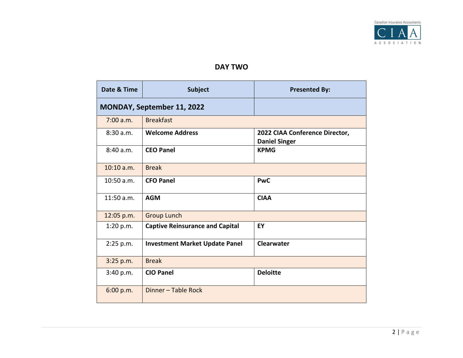

## **DAY TWO**

| Date & Time                | <b>Subject</b>                         | <b>Presented By:</b>                                   |
|----------------------------|----------------------------------------|--------------------------------------------------------|
| MONDAY, September 11, 2022 |                                        |                                                        |
| 7:00 a.m.                  | <b>Breakfast</b>                       |                                                        |
| 8:30a.m.                   | <b>Welcome Address</b>                 | 2022 CIAA Conference Director,<br><b>Daniel Singer</b> |
| 8:40a.m.                   | <b>CEO Panel</b>                       | <b>KPMG</b>                                            |
| $10:10$ a.m.               | <b>Break</b>                           |                                                        |
| 10:50 a.m.                 | <b>CFO Panel</b>                       | <b>PwC</b>                                             |
| 11:50 a.m.                 | <b>AGM</b>                             | <b>CIAA</b>                                            |
| 12:05 p.m.                 | <b>Group Lunch</b>                     |                                                        |
| 1:20 p.m.                  | <b>Captive Reinsurance and Capital</b> | EY                                                     |
| 2:25 p.m.                  | <b>Investment Market Update Panel</b>  | <b>Clearwater</b>                                      |
| 3:25 p.m.                  | <b>Break</b>                           |                                                        |
| 3:40 p.m.                  | <b>CIO Panel</b>                       | <b>Deloitte</b>                                        |
| 6:00 p.m.                  | Dinner - Table Rock                    |                                                        |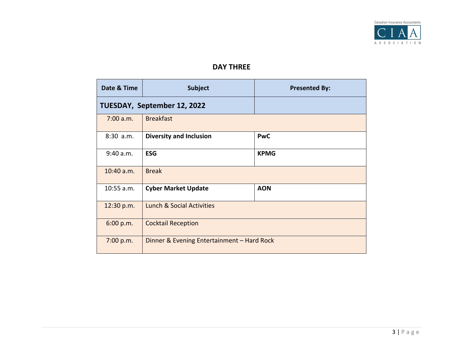

## **DAY THREE**

| Date & Time                 | <b>Subject</b>                             | <b>Presented By:</b> |
|-----------------------------|--------------------------------------------|----------------------|
| TUESDAY, September 12, 2022 |                                            |                      |
| $7:00$ a.m.                 | <b>Breakfast</b>                           |                      |
| 8:30 a.m.                   | <b>Diversity and Inclusion</b>             | <b>PwC</b>           |
| 9:40 a.m.                   | <b>ESG</b>                                 | <b>KPMG</b>          |
| $10:40$ a.m.                | <b>Break</b>                               |                      |
| 10:55 a.m.                  | <b>Cyber Market Update</b>                 | <b>AON</b>           |
| 12:30 p.m.                  | Lunch & Social Activities                  |                      |
| 6:00 p.m.                   | <b>Cocktail Reception</b>                  |                      |
| 7:00 p.m.                   | Dinner & Evening Entertainment - Hard Rock |                      |